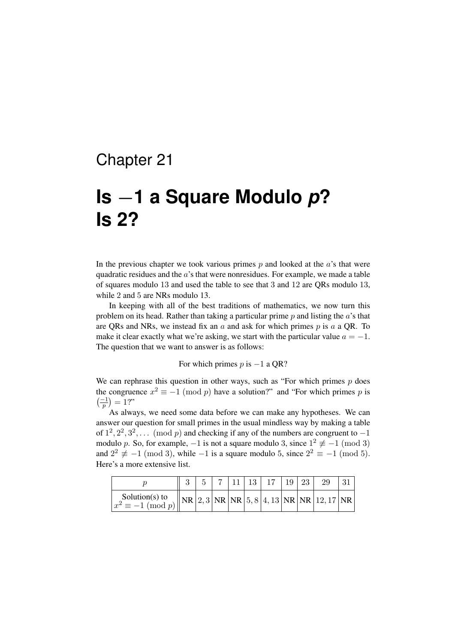## Chapter 21

## **Is** *−***1 a Square Modulo** *p***? Is 2?**

In the previous chapter we took various primes  $p$  and looked at the  $a$ 's that were quadratic residues and the *a*'s that were nonresidues. For example, we made a table of squares modulo 13 and used the table to see that 3 and 12 are QRs modulo 13, while 2 and 5 are NRs modulo 13.

In keeping with all of the best traditions of mathematics, we now turn this problem on its head. Rather than taking a particular prime *p* and listing the *a*'s that are QRs and NRs, we instead fix an *a* and ask for which primes *p* is *a* a QR. To make it clear exactly what we're asking, we start with the particular value  $a = -1$ . The question that we want to answer is as follows:

For which primes *p* is *−*1 a QR?

We can rephrase this question in other ways, such as "For which primes *p* does the congruence  $x^2 \equiv -1 \pmod{p}$  have a solution?" and "For which primes *p* is  $\left(\frac{-1}{p}\right) = 1$ ?"

As always, we need some data before we can make any hypotheses. We can answer our question for small primes in the usual mindless way by making a table of  $1^2, 2^2, 3^2, \ldots \pmod{p}$  and checking if any of the numbers are congruent to −1 modulo *p*. So, for example,  $-1$  is not a square modulo 3, since  $1^2 \not\equiv -1 \pmod{3}$ and  $2^2 \not\equiv -1 \pmod{3}$ , while  $-1$  is a square modulo 5, since  $2^2 \equiv -1 \pmod{5}$ . Here's a more extensive list.

|                                            |  |  | $11 \mid 13 \mid$ | 17 | $\mid$ 19 |                                                     |  |
|--------------------------------------------|--|--|-------------------|----|-----------|-----------------------------------------------------|--|
| Solution(s) to<br>$x^2 \equiv -1 \pmod{p}$ |  |  |                   |    |           | $\ NR\ 2,3\ NR\ NR\ 5,8\ 4,13\ NR\ NR\ 12,17\ NR\ $ |  |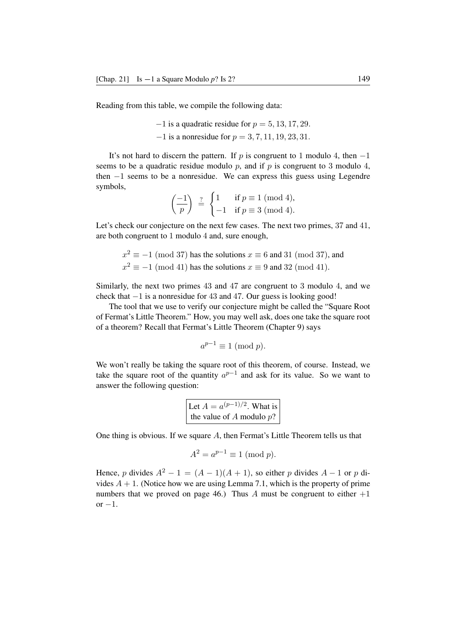Reading from this table, we compile the following data:

*−*1 is a quadratic residue for *p* = 5*,* 13*,* 17*,* 29*. −*1 is a nonresidue for *p* = 3*,* 7*,* 11*,* 19*,* 23*,* 31*.*

It's not hard to discern the pattern. If *p* is congruent to 1 modulo 4, then *−*1 seems to be a quadratic residue modulo *p*, and if *p* is congruent to 3 modulo 4, then *−*1 seems to be a nonresidue. We can express this guess using Legendre symbols,

$$
\left(\frac{-1}{p}\right) \stackrel{?}{=} \begin{cases} 1 & \text{if } p \equiv 1 \pmod{4}, \\ -1 & \text{if } p \equiv 3 \pmod{4}. \end{cases}
$$

Let's check our conjecture on the next few cases. The next two primes, 37 and 41, are both congruent to 1 modulo 4 and, sure enough,

$$
x^2 \equiv -1 \pmod{37}
$$
 has the solutions  $x \equiv 6$  and 31 (mod 37), and  
 $x^2 \equiv -1 \pmod{41}$  has the solutions  $x \equiv 9$  and 32 (mod 41).

Similarly, the next two primes 43 and 47 are congruent to 3 modulo 4, and we check that *−*1 is a nonresidue for 43 and 47. Our guess is looking good!

The tool that we use to verify our conjecture might be called the "Square Root of Fermat's Little Theorem." How, you may well ask, does one take the square root of a theorem? Recall that Fermat's Little Theorem (Chapter 9) says

$$
a^{p-1} \equiv 1 \ (\text{mod } p).
$$

We won't really be taking the square root of this theorem, of course. Instead, we take the square root of the quantity  $a^{p-1}$  and ask for its value. So we want to answer the following question:

Let 
$$
A = a^{(p-1)/2}
$$
. What is  
the value of A modulo p?

One thing is obvious. If we square *A*, then Fermat's Little Theorem tells us that

$$
A^2 = a^{p-1} \equiv 1 \pmod{p}.
$$

Hence, *p* divides  $A^2 - 1 = (A - 1)(A + 1)$ , so either *p* divides  $A - 1$  or *p* divides  $A + 1$ . (Notice how we are using Lemma 7.1, which is the property of prime numbers that we proved on page 46.) Thus  $\Lambda$  must be congruent to either  $+1$ or *−*1.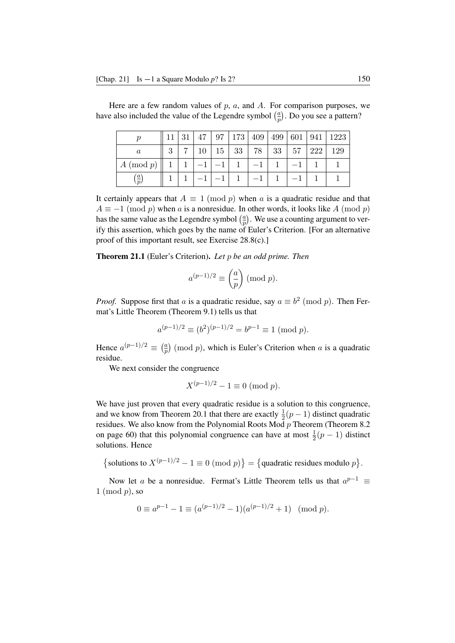|                      |                | 21<br>ΩT | 47 |                   |    | 97   173   409   499   601   941 |    |     | 1223 |
|----------------------|----------------|----------|----|-------------------|----|----------------------------------|----|-----|------|
| $\it a$              | $\Omega$<br>IJ |          | 10 | $15 \mid 33 \mid$ | 78 | 33                               | 57 | 222 | 129  |
| $A \pmod{p}$         |                |          |    |                   |    |                                  |    |     |      |
| $\underline{a}$<br>n |                |          |    |                   |    |                                  |    |     |      |

Here are a few random values of *p*, *a*, and *A*. For comparison purposes, we have also included the value of the Legendre symbol  $\left(\frac{a}{n}\right)$  $\frac{a}{p}$ ). Do you see a pattern?

It certainly appears that  $A \equiv 1 \pmod{p}$  when *a* is a quadratic residue and that  $A \equiv -1 \pmod{p}$  when *a* is a nonresidue. In other words, it looks like *A* (mod *p*) has the same value as the Legendre symbol  $\left(\frac{a}{n}\right)$  $\frac{a}{p}$ ). We use a counting argument to verify this assertion, which goes by the name of Euler's Criterion. [For an alternative proof of this important result, see Exercise 28.8(c).]

Theorem 21.1 (Euler's Criterion). *Let p be an odd prime. Then*

$$
a^{(p-1)/2} \equiv \binom{a}{p} \pmod{p}.
$$

*Proof.* Suppose first that *a* is a quadratic residue, say  $a \equiv b^2 \pmod{p}$ . Then Fermat's Little Theorem (Theorem 9.1) tells us that

$$
a^{(p-1)/2} \equiv (b^2)^{(p-1)/2} = b^{p-1} \equiv 1 \pmod{p}.
$$

Hence  $a^{(p-1)/2} \equiv \left(\frac{a}{p}\right)$  $\frac{a}{p}$  (mod *p*), which is Euler's Criterion when *a* is a quadratic residue.

We next consider the congruence

$$
X^{(p-1)/2} - 1 \equiv 0 \pmod{p}.
$$

We have just proven that every quadratic residue is a solution to this congruence, and we know from Theorem 20.1 that there are exactly  $\frac{1}{2}(p-1)$  distinct quadratic residues. We also know from the Polynomial Roots Mod *p* Theorem (Theorem 8.2 on page 60) that this polynomial congruence can have at most  $\frac{1}{2}(p-1)$  distinct solutions. Hence

{solutions to  $X^{(p-1)/2} - 1 \equiv 0 \pmod{p}$  } = {quadratic residues modulo *p*}.

Now let *a* be a nonresidue. Fermat's Little Theorem tells us that  $a^{p-1} \equiv$ 1 (mod *p*), so

$$
0 \equiv a^{p-1} - 1 \equiv (a^{(p-1)/2} - 1)(a^{(p-1)/2} + 1) \pmod{p}.
$$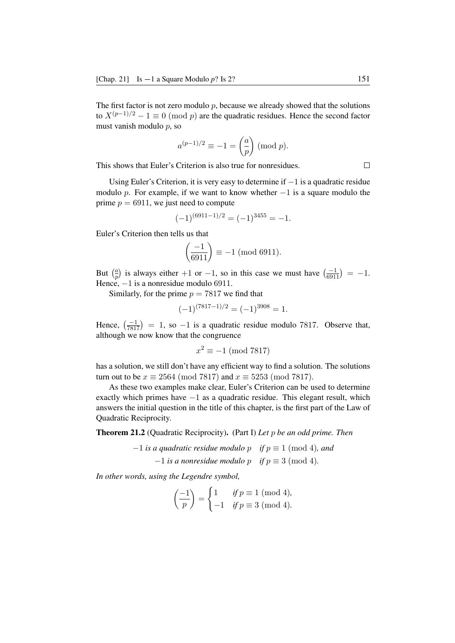The first factor is not zero modulo  $p$ , because we already showed that the solutions to  $X^{(p-1)/2} - 1 \equiv 0 \pmod{p}$  are the quadratic residues. Hence the second factor must vanish modulo *p*, so

$$
a^{(p-1)/2} \equiv -1 = \left(\frac{a}{p}\right) \pmod{p}.
$$

This shows that Euler's Criterion is also true for nonresidues.

Using Euler's Criterion, it is very easy to determine if *−*1 is a quadratic residue modulo *p*. For example, if we want to know whether *−*1 is a square modulo the prime  $p = 6911$ , we just need to compute

$$
(-1)^{(6911-1)/2} = (-1)^{3455} = -1.
$$

Euler's Criterion then tells us that

$$
\left(\frac{-1}{6911}\right) \equiv -1 \pmod{6911}.
$$

But  $\left(\frac{a}{n}\right)$  $\frac{a}{p}$ ) is always either +1 or *−*1, so in this case we must have  $\left(\frac{-1}{6911}\right) = -1$ . Hence, *−*1 is a nonresidue modulo 6911.

Similarly, for the prime  $p = 7817$  we find that

$$
(-1)^{(7817-1)/2} = (-1)^{3908} = 1.
$$

Hence,  $\left(\frac{-1}{7817}\right) = 1$ , so  $-1$  is a quadratic residue modulo 7817. Observe that, although we now know that the congruence

$$
x^2 \equiv -1 \pmod{7817}
$$

has a solution, we still don't have any efficient way to find a solution. The solutions turn out to be  $x \equiv 2564 \pmod{7817}$  and  $x \equiv 5253 \pmod{7817}$ .

As these two examples make clear, Euler's Criterion can be used to determine exactly which primes have *−*1 as a quadratic residue. This elegant result, which answers the initial question in the title of this chapter, is the first part of the Law of Quadratic Reciprocity.

Theorem 21.2 (Quadratic Reciprocity). (Part I) *Let p be an odd prime. Then*

*−*1 *is a quadratic residue modulo p if p ≡* 1 (mod 4)*, and −*1 *is a nonresidue modulo p if p ≡* 3 (mod 4)*.*

*In other words, using the Legendre symbol,*

$$
\left(\frac{-1}{p}\right) = \begin{cases} 1 & \text{if } p \equiv 1 \pmod{4}, \\ -1 & \text{if } p \equiv 3 \pmod{4}. \end{cases}
$$

 $\Box$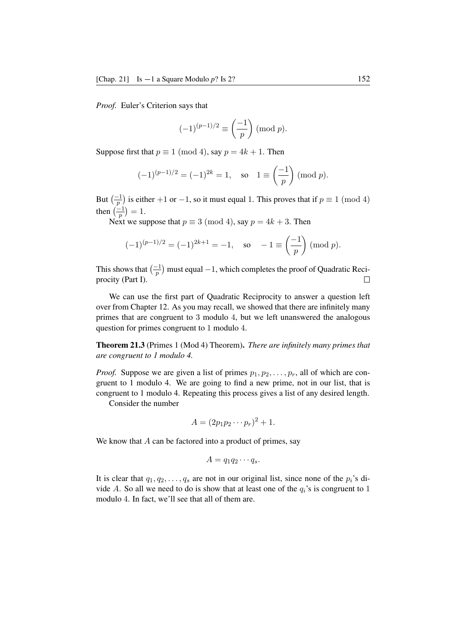*Proof.* Euler's Criterion says that

$$
(-1)^{(p-1)/2} \equiv \left(\frac{-1}{p}\right) \pmod{p}.
$$

Suppose first that  $p \equiv 1 \pmod{4}$ , say  $p = 4k + 1$ . Then

$$
(-1)^{(p-1)/2} = (-1)^{2k} = 1
$$
, so  $1 \equiv \left(\frac{-1}{p}\right) \pmod{p}$ .

But  $\left(\frac{-1}{p}\right)$  is either +1 or -1, so it must equal 1. This proves that if  $p \equiv 1 \pmod{4}$ then  $\left(\frac{-1}{p}\right) = 1$ .

Next we suppose that  $p \equiv 3 \pmod{4}$ , say  $p = 4k + 3$ . Then

$$
(-1)^{(p-1)/2} = (-1)^{2k+1} = -1
$$
, so  $-1 \equiv \left(\frac{-1}{p}\right) \pmod{p}$ .

This shows that  $\left(\frac{-1}{p}\right)$  must equal  $-1$ , which completes the proof of Quadratic Reciprocity (Part I).

We can use the first part of Quadratic Reciprocity to answer a question left over from Chapter 12. As you may recall, we showed that there are infinitely many primes that are congruent to 3 modulo 4, but we left unanswered the analogous question for primes congruent to 1 modulo 4.

Theorem 21.3 (Primes 1 (Mod 4) Theorem). *There are infinitely many primes that are congruent to 1 modulo 4.*

*Proof.* Suppose we are given a list of primes  $p_1, p_2, \ldots, p_r$ , all of which are congruent to 1 modulo 4. We are going to find a new prime, not in our list, that is congruent to 1 modulo 4. Repeating this process gives a list of any desired length.

Consider the number

$$
A = (2p_1p_2\cdots p_r)^2 + 1.
$$

We know that *A* can be factored into a product of primes, say

$$
A=q_1q_2\cdots q_s.
$$

It is clear that  $q_1, q_2, \ldots, q_s$  are not in our original list, since none of the  $p_i$ 's divide *A*. So all we need to do is show that at least one of the  $q_i$ 's is congruent to 1 modulo 4. In fact, we'll see that all of them are.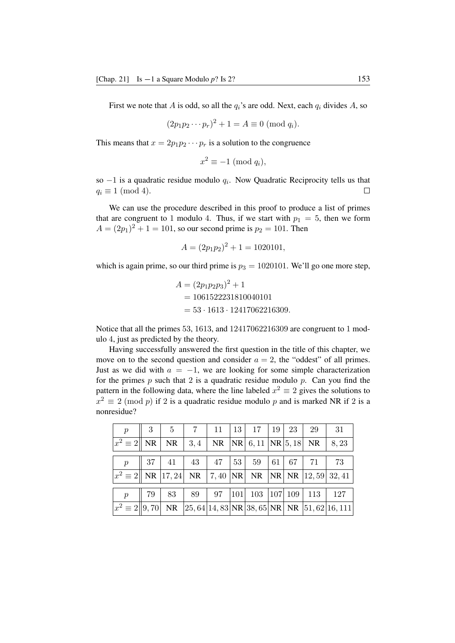First we note that *A* is odd, so all the  $q_i$ 's are odd. Next, each  $q_i$  divides *A*, so

$$
(2p_1p_2\cdots p_r)^2 + 1 = A \equiv 0 \; (\text{mod } q_i).
$$

This means that  $x = 2p_1p_2 \cdots p_r$  is a solution to the congruence

$$
x^2 \equiv -1 \pmod{q_i},
$$

so *−*1 is a quadratic residue modulo *q<sup>i</sup>* . Now Quadratic Reciprocity tells us that  $q_i \equiv 1 \pmod{4}$ .  $\Box$ 

We can use the procedure described in this proof to produce a list of primes that are congruent to 1 modulo 4. Thus, if we start with  $p_1 = 5$ , then we form  $A = (2p_1)^2 + 1 = 101$ , so our second prime is  $p_2 = 101$ . Then

$$
A = (2p_1p_2)^2 + 1 = 1020101,
$$

which is again prime, so our third prime is  $p_3 = 1020101$ . We'll go one more step,

$$
A = (2p_1p_2p_3)^2 + 1
$$
  
= 1061522231810040101  
= 53 \cdot 1613 \cdot 12417062216309.

Notice that all the primes 53, 1613, and 12417062216309 are congruent to 1 modulo 4, just as predicted by the theory.

Having successfully answered the first question in the title of this chapter, we move on to the second question and consider  $a = 2$ , the "oddest" of all primes. Just as we did with  $a = -1$ , we are looking for some simple characterization for the primes *p* such that 2 is a quadratic residue modulo *p*. Can you find the pattern in the following data, where the line labeled  $x^2 \equiv 2$  gives the solutions to  $x^2 \equiv 2 \pmod{p}$  if 2 is a quadratic residue modulo *p* and is marked NR if 2 is a nonresidue?

| $\boldsymbol{p}$                                                                                                                | 3  | $\overline{5}$ | $7^{\circ}$ | 11                                    | 13  | 17  | $\mid$ 19      | 23      | 29  | 31                                                         |
|---------------------------------------------------------------------------------------------------------------------------------|----|----------------|-------------|---------------------------------------|-----|-----|----------------|---------|-----|------------------------------------------------------------|
| $ x^2\equiv 2   \text{ NR} $                                                                                                    |    | NR             |             | 3,4   NR   NR   6,11   NR   5,18   NR |     |     |                |         |     | 8,23                                                       |
|                                                                                                                                 |    |                |             |                                       |     |     |                |         |     |                                                            |
| $\boldsymbol{p}$                                                                                                                | 37 | 41             |             | 43   47   53                          |     | 59  | $\mid 61 \mid$ | 67      | -71 | 73                                                         |
| $ x^2 \equiv 2   \text{ NR }  17,24   \text{ NR }  7,40 \text{ NR }  \text{ NR }  \text{NR } \text{ NR }  12,59 \text{ 32,41 }$ |    |                |             |                                       |     |     |                |         |     |                                                            |
|                                                                                                                                 |    |                |             |                                       |     |     |                |         |     |                                                            |
| $\boldsymbol{p}$                                                                                                                | 79 | 83             | 89          | 97                                    | 101 | 103 |                | 107 109 | 113 | 127                                                        |
| $ x^2 \equiv 2  9, 70 $                                                                                                         |    | <b>NR</b>      |             |                                       |     |     |                |         |     | $ 25, 64 14, 83 $ NR $ 38, 65 $ NR   NR $ 51, 62 16, 111 $ |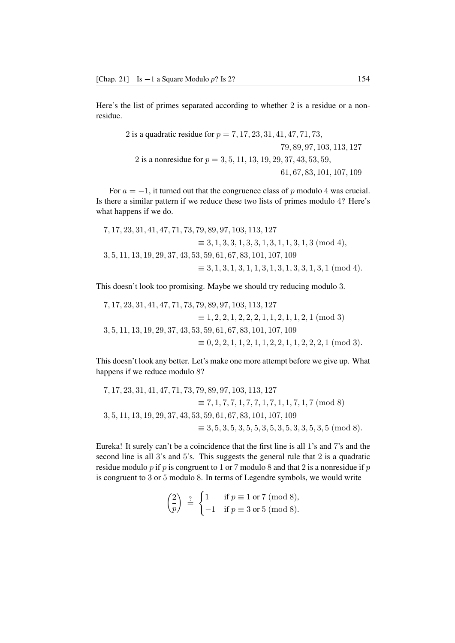Here's the list of primes separated according to whether 2 is a residue or a nonresidue.

> is a quadratic residue for *p* = 7*,* 17*,* 23*,* 31*,* 41*,* 47*,* 71*,* 73*, ,* 89*,* 97*,* 103*,* 113*,* 127 is a nonresidue for *p* = 3*,* 5*,* 11*,* 13*,* 19*,* 29*,* 37*,* 43*,* 53*,* 59*, ,* 67*,* 83*,* 101*,* 107*,* 109

For  $a = -1$ , it turned out that the congruence class of p modulo 4 was crucial. Is there a similar pattern if we reduce these two lists of primes modulo 4? Here's what happens if we do.

7*,* 17*,* 23*,* 31*,* 41*,* 47*,* 71*,* 73*,* 79*,* 89*,* 97*,* 103*,* 113*,* 127 *≡* 3*,* 1*,* 3*,* 3*,* 1*,* 3*,* 3*,* 1*,* 3*,* 1*,* 1*,* 3*,* 1*,* 3 (mod 4)*,* 3*,* 5*,* 11*,* 13*,* 19*,* 29*,* 37*,* 43*,* 53*,* 59*,* 61*,* 67*,* 83*,* 101*,* 107*,* 109 *≡* 3*,* 1*,* 3*,* 1*,* 3*,* 1*,* 1*,* 3*,* 1*,* 3*,* 1*,* 3*,* 3*,* 1*,* 3*,* 1 (mod 4)*.*

This doesn't look too promising. Maybe we should try reducing modulo 3.

7*,* 17*,* 23*,* 31*,* 41*,* 47*,* 71*,* 73*,* 79*,* 89*,* 97*,* 103*,* 113*,* 127 *≡* 1*,* 2*,* 2*,* 1*,* 2*,* 2*,* 2*,* 1*,* 1*,* 2*,* 1*,* 1*,* 2*,* 1 (mod 3) 3*,* 5*,* 11*,* 13*,* 19*,* 29*,* 37*,* 43*,* 53*,* 59*,* 61*,* 67*,* 83*,* 101*,* 107*,* 109 *≡* 0*,* 2*,* 2*,* 1*,* 1*,* 2*,* 1*,* 1*,* 2*,* 2*,* 1*,* 1*,* 2*,* 2*,* 2*,* 1 (mod 3)*.*

This doesn't look any better. Let's make one more attempt before we give up. What happens if we reduce modulo 8?

$$
7, 17, 23, 31, 41, 47, 71, 73, 79, 89, 97, 103, 113, 127
$$
  
\n
$$
\equiv 7, 1, 7, 7, 1, 7, 1, 7, 1, 1, 7, 1, 7
$$
 (mod 8)  
\n
$$
3, 5, 11, 13, 19, 29, 37, 43, 53, 59, 61, 67, 83, 101, 107, 109
$$
  
\n
$$
\equiv 3, 5, 3, 5, 3, 5, 3, 5, 3, 5, 3, 5, 3, 5, 3, 5, 3, 5, 3, 5, 6
$$
 (mod 8)

Eureka! It surely can't be a coincidence that the first line is all 1's and 7's and the second line is all 3's and 5's. This suggests the general rule that 2 is a quadratic residue modulo *p* if *p* is congruent to 1 or 7 modulo 8 and that 2 is a nonresidue if *p* is congruent to 3 or 5 modulo 8. In terms of Legendre symbols, we would write

$$
\binom{2}{p} \stackrel{?}{=} \begin{cases} 1 & \text{if } p \equiv 1 \text{ or } 7 \pmod{8}, \\ -1 & \text{if } p \equiv 3 \text{ or } 5 \pmod{8}. \end{cases}
$$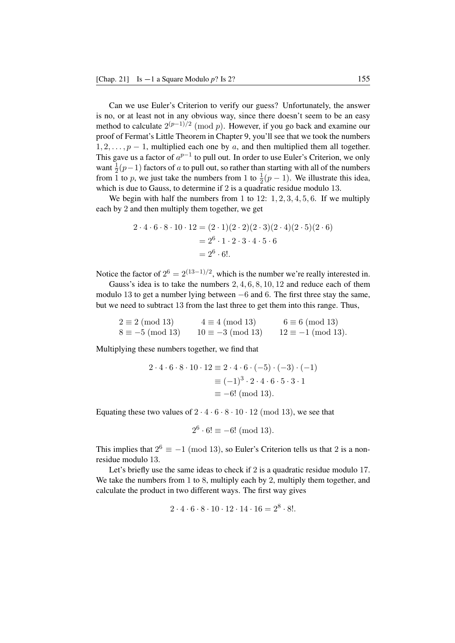Can we use Euler's Criterion to verify our guess? Unfortunately, the answer is no, or at least not in any obvious way, since there doesn't seem to be an easy method to calculate 2 (*p−*1)*/*2 (mod *p*). However, if you go back and examine our proof of Fermat's Little Theorem in Chapter 9, you'll see that we took the numbers 1*,* 2*, . . . , p −* 1, multiplied each one by *a*, and then multiplied them all together. This gave us a factor of  $a^{p-1}$  to pull out. In order to use Euler's Criterion, we only want  $\frac{1}{2}(p-1)$  factors of *a* to pull out, so rather than starting with all of the numbers from 1 to *p*, we just take the numbers from 1 to  $\frac{1}{2}(p-1)$ . We illustrate this idea, which is due to Gauss, to determine if 2 is a quadratic residue modulo 13.

We begin with half the numbers from 1 to 12: 1*,* 2*,* 3*,* 4*,* 5*,* 6. If we multiply each by 2 and then multiply them together, we get

$$
2 \cdot 4 \cdot 6 \cdot 8 \cdot 10 \cdot 12 = (2 \cdot 1)(2 \cdot 2)(2 \cdot 3)(2 \cdot 4)(2 \cdot 5)(2 \cdot 6)
$$
  
=  $2^{6} \cdot 1 \cdot 2 \cdot 3 \cdot 4 \cdot 5 \cdot 6$   
=  $2^{6} \cdot 6!$ .

Notice the factor of  $2^6 = 2^{(13-1)/2}$ , which is the number we're really interested in.

Gauss's idea is to take the numbers 2*,* 4*,* 6*,* 8*,* 10*,* 12 and reduce each of them modulo 13 to get a number lying between *−*6 and 6. The first three stay the same, but we need to subtract 13 from the last three to get them into this range. Thus,

 $2 \equiv 2 \pmod{13}$   $4 \equiv 4 \pmod{13}$   $6 \equiv 6 \pmod{13}$ <br> $8 \equiv -5 \pmod{13}$   $10 \equiv -3 \pmod{13}$   $12 \equiv -1 \pmod{13}$  $12 \equiv -1 \pmod{13}$ .

Multiplying these numbers together, we find that

$$
2 \cdot 4 \cdot 6 \cdot 8 \cdot 10 \cdot 12 \equiv 2 \cdot 4 \cdot 6 \cdot (-5) \cdot (-3) \cdot (-1)
$$

$$
\equiv (-1)^3 \cdot 2 \cdot 4 \cdot 6 \cdot 5 \cdot 3 \cdot 1
$$

$$
\equiv -6! \text{ (mod 13)}.
$$

Equating these two values of  $2 \cdot 4 \cdot 6 \cdot 8 \cdot 10 \cdot 12 \pmod{13}$ , we see that

$$
2^6 \cdot 6! \equiv -6! \pmod{13}.
$$

This implies that  $2^6 \equiv -1 \pmod{13}$ , so Euler's Criterion tells us that 2 is a nonresidue modulo 13.

Let's briefly use the same ideas to check if 2 is a quadratic residue modulo 17. We take the numbers from 1 to 8, multiply each by 2, multiply them together, and calculate the product in two different ways. The first way gives

$$
2 \cdot 4 \cdot 6 \cdot 8 \cdot 10 \cdot 12 \cdot 14 \cdot 16 = 2^8 \cdot 8!
$$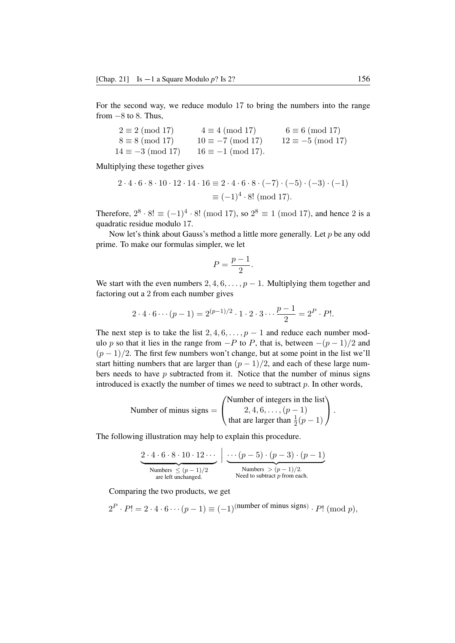For the second way, we reduce modulo 17 to bring the numbers into the range from *−*8 to 8. Thus,

 $2 \equiv 2 \pmod{17}$   $4 \equiv 4 \pmod{17}$   $6 \equiv 6 \pmod{17}$ <br> $8 \equiv 8 \pmod{17}$   $10 \equiv -7 \pmod{17}$   $12 \equiv -5 \pmod{17}$  $8 \equiv 8 \pmod{17}$   $10 \equiv -7 \pmod{17}$   $12 \equiv -5 \pmod{17}$ <br> $14 \equiv -3 \pmod{17}$   $16 \equiv -1 \pmod{17}$ .  $16 \equiv -1 \pmod{17}$ .

Multiplying these together gives

$$
2 \cdot 4 \cdot 6 \cdot 8 \cdot 10 \cdot 12 \cdot 14 \cdot 16 \equiv 2 \cdot 4 \cdot 6 \cdot 8 \cdot (-7) \cdot (-5) \cdot (-3) \cdot (-1)
$$

$$
\equiv (-1)^4 \cdot 8! \text{ (mod 17)}.
$$

Therefore,  $2^8 \cdot 8! \equiv (-1)^4 \cdot 8! \pmod{17}$ , so  $2^8 \equiv 1 \pmod{17}$ , and hence 2 is a quadratic residue modulo 17.

Now let's think about Gauss's method a little more generally. Let *p* be any odd prime. To make our formulas simpler, we let

$$
P = \frac{p-1}{2}.
$$

We start with the even numbers  $2, 4, 6, \ldots, p-1$ . Multiplying them together and factoring out a 2 from each number gives

$$
2 \cdot 4 \cdot 6 \cdots (p-1) = 2^{(p-1)/2} \cdot 1 \cdot 2 \cdot 3 \cdots \frac{p-1}{2} = 2^P \cdot P!.
$$

The next step is to take the list  $2, 4, 6, \ldots, p-1$  and reduce each number modulo *p* so that it lies in the range from *−P* to *P*, that is, between *−*(*p −* 1)*/*2 and (*p −* 1)*/*2. The first few numbers won't change, but at some point in the list we'll start hitting numbers that are larger than  $(p-1)/2$ , and each of these large numbers needs to have *p* subtracted from it. Notice that the number of minus signs introduced is exactly the number of times we need to subtract *p*. In other words,

Number of minus signs = 
$$
\begin{pmatrix} \text{Number of integers in the list} \\ 2, 4, 6, ..., (p-1) \\ \text{that are larger than } \frac{1}{2}(p-1) \end{pmatrix}.
$$

The following illustration may help to explain this procedure.

$$
2 \cdot 4 \cdot 6 \cdot 8 \cdot 10 \cdot 12 \cdots \bigg| \underbrace{\cdots (p-5) \cdot (p-3) \cdot (p-1)}_{\text{Numbers } \leq (p-1)/2}
$$
\n
$$
\underbrace{\cdots (p-5) \cdot (p-3) \cdot (p-1)}_{\text{Numbers } > (p-1)/2.}
$$
\n
$$
\underbrace{\qquad \qquad \text{Numbers }}_{\text{need to subtract } p \text{ from each.}}
$$

Comparing the two products, we get

 $2^P \cdot P! = 2 \cdot 4 \cdot 6 \cdots (p-1) \equiv (-1)^{(\text{number of minus signs})} \cdot P! \pmod{p},$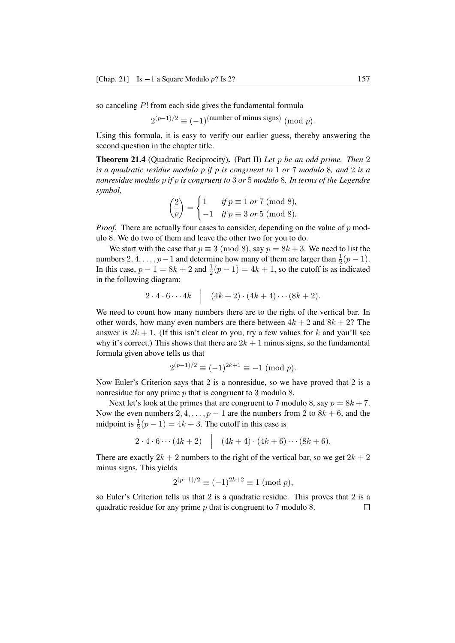so canceling *P*! from each side gives the fundamental formula

 $2^{(p-1)/2} \equiv (-1)^{(\text{number of minus signs})} \pmod{p}.$ 

Using this formula, it is easy to verify our earlier guess, thereby answering the second question in the chapter title.

Theorem 21.4 (Quadratic Reciprocity). (Part II) *Let p be an odd prime. Then* 2 *is a quadratic residue modulo p if p is congruent to* 1 *or* 7 *modulo* 8*, and* 2 *is a nonresidue modulo p if p is congruent to* 3 *or* 5 *modulo* 8*. In terms of the Legendre symbol,*

$$
\begin{pmatrix} 2 \\ \overline{p} \end{pmatrix} = \begin{cases} 1 & \text{if } p \equiv 1 \text{ or } 7 \text{ (mod 8)}, \\ -1 & \text{if } p \equiv 3 \text{ or } 5 \text{ (mod 8)}. \end{cases}
$$

*Proof.* There are actually four cases to consider, depending on the value of p modulo 8. We do two of them and leave the other two for you to do.

We start with the case that  $p \equiv 3 \pmod{8}$ , say  $p = 8k + 3$ . We need to list the numbers 2, 4, . . . , *p* − 1 and determine how many of them are larger than  $\frac{1}{2}(p-1)$ . In this case,  $p - 1 = 8k + 2$  and  $\frac{1}{2}(p - 1) = 4k + 1$ , so the cutoff is as indicated in the following diagram:

$$
2\cdot 4\cdot 6\cdots 4k \quad \Big|\quad (4k+2)\cdot (4k+4)\cdots (8k+2).
$$

We need to count how many numbers there are to the right of the vertical bar. In other words, how many even numbers are there between  $4k + 2$  and  $8k + 2$ ? The answer is  $2k + 1$ . (If this isn't clear to you, try a few values for k and you'll see why it's correct.) This shows that there are  $2k + 1$  minus signs, so the fundamental formula given above tells us that

$$
2^{(p-1)/2} \equiv (-1)^{2k+1} \equiv -1 \pmod{p}.
$$

Now Euler's Criterion says that 2 is a nonresidue, so we have proved that 2 is a nonresidue for any prime *p* that is congruent to 3 modulo 8.

Next let's look at the primes that are congruent to 7 modulo 8, say  $p = 8k + 7$ . Now the even numbers 2, 4, ...,  $p-1$  are the numbers from 2 to  $8k + 6$ , and the midpoint is  $\frac{1}{2}(p-1) = 4k + 3$ . The cutoff in this case is

$$
2 \cdot 4 \cdot 6 \cdots (4k+2) \quad (4k+4) \cdot (4k+6) \cdots (8k+6).
$$

There are exactly  $2k + 2$  numbers to the right of the vertical bar, so we get  $2k + 2$ minus signs. This yields

$$
2^{(p-1)/2} \equiv (-1)^{2k+2} \equiv 1 \pmod{p},
$$

so Euler's Criterion tells us that 2 is a quadratic residue. This proves that 2 is a quadratic residue for any prime *p* that is congruent to 7 modulo 8. $\Box$